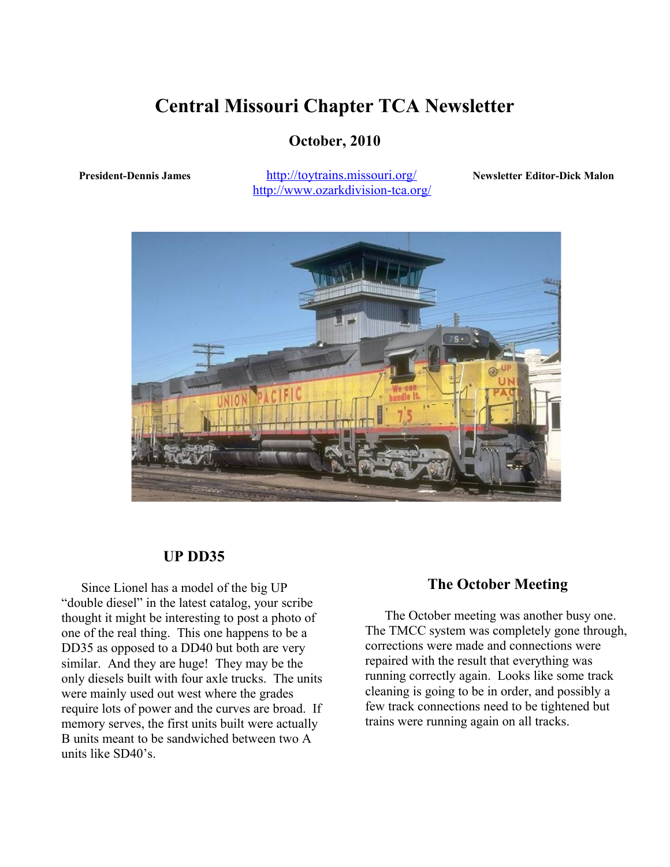# **Central Missouri Chapter TCA Newsletter**

## **October, 2010**

President-Dennis James <http://toytrains.missouri.org/> **Newsletter Editor-Dick Malon** <http://www.ozarkdivision-tca.org/>



## **UP DD35**

 Since Lionel has a model of the big UP "double diesel" in the latest catalog, your scribe thought it might be interesting to post a photo of one of the real thing. This one happens to be a DD35 as opposed to a DD40 but both are very similar. And they are huge! They may be the only diesels built with four axle trucks. The units were mainly used out west where the grades require lots of power and the curves are broad. If memory serves, the first units built were actually B units meant to be sandwiched between two A units like SD40's.

#### **The October Meeting**

 The October meeting was another busy one. The TMCC system was completely gone through, corrections were made and connections were repaired with the result that everything was running correctly again. Looks like some track cleaning is going to be in order, and possibly a few track connections need to be tightened but trains were running again on all tracks.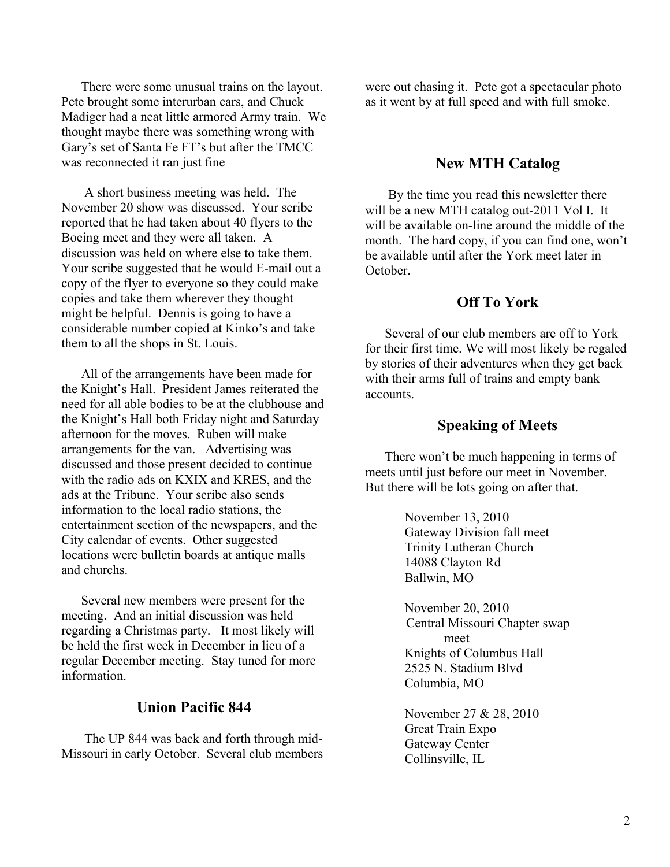There were some unusual trains on the layout. Pete brought some interurban cars, and Chuck Madiger had a neat little armored Army train. We thought maybe there was something wrong with Gary's set of Santa Fe FT's but after the TMCC was reconnected it ran just fine

 A short business meeting was held. The November 20 show was discussed. Your scribe reported that he had taken about 40 flyers to the Boeing meet and they were all taken. A discussion was held on where else to take them. Your scribe suggested that he would E-mail out a copy of the flyer to everyone so they could make copies and take them wherever they thought might be helpful. Dennis is going to have a considerable number copied at Kinko's and take them to all the shops in St. Louis.

 All of the arrangements have been made for the Knight's Hall. President James reiterated the need for all able bodies to be at the clubhouse and the Knight's Hall both Friday night and Saturday afternoon for the moves. Ruben will make arrangements for the van. Advertising was discussed and those present decided to continue with the radio ads on KXIX and KRES, and the ads at the Tribune. Your scribe also sends information to the local radio stations, the entertainment section of the newspapers, and the City calendar of events. Other suggested locations were bulletin boards at antique malls and churchs.

 Several new members were present for the meeting. And an initial discussion was held regarding a Christmas party. It most likely will be held the first week in December in lieu of a regular December meeting. Stay tuned for more information.

## **Union Pacific 844**

 The UP 844 was back and forth through mid-Missouri in early October. Several club members were out chasing it. Pete got a spectacular photo as it went by at full speed and with full smoke.

#### **New MTH Catalog**

 By the time you read this newsletter there will be a new MTH catalog out-2011 Vol I. It will be available on-line around the middle of the month. The hard copy, if you can find one, won't be available until after the York meet later in October.

#### **Off To York**

 Several of our club members are off to York for their first time. We will most likely be regaled by stories of their adventures when they get back with their arms full of trains and empty bank accounts.

#### **Speaking of Meets**

 There won't be much happening in terms of meets until just before our meet in November. But there will be lots going on after that.

> November 13, 2010 Gateway Division fall meet Trinity Lutheran Church 14088 Clayton Rd Ballwin, MO

November 20, 2010 Central Missouri Chapter swap meet Knights of Columbus Hall 2525 N. Stadium Blvd Columbia, MO

November 27 & 28, 2010 Great Train Expo Gateway Center Collinsville, IL